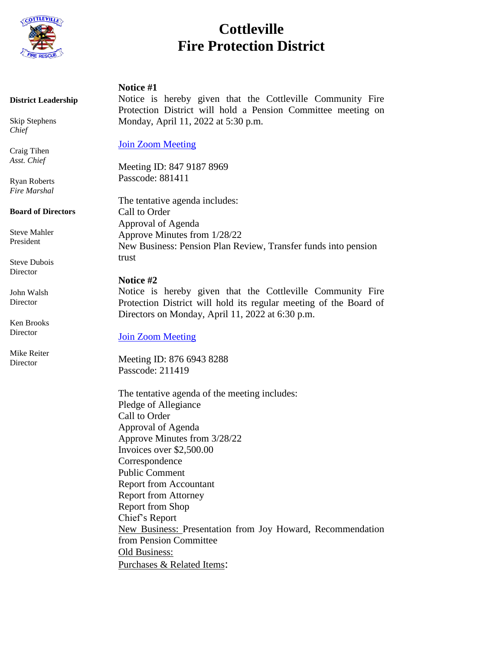

# **Cottleville Fire Protection District**

## **Notice #1**

 **District Leadership** 

 Skip Stephens  *Chief* 

 Craig Tihen  *Asst. Chief* 

 Ryan Roberts  *Fire Marshal* 

 **Board of Directors**

 Steve Mahler President

 Steve Dubois Director

 John Walsh Director

 Ken Brooks **Director** 

 Mike Reiter **Director** 

Notice is hereby given that the Cottleville Community Fire Protection District will hold a Pension Committee meeting on Monday, April 11, 2022 at 5:30 p.m.

[Join Zoom Meeting](https://us02web.zoom.us/j/84791878969?pwd=dGVDREhpM0NXUFYzdFVPVmd0TjFRUT09)

Meeting ID: 847 9187 8969 Passcode: 881411

The tentative agenda includes: Call to Order Approval of Agenda Approve Minutes from 1/28/22 New Business: Pension Plan Review, Transfer funds into pension trust

# **Notice #2**

Notice is hereby given that the Cottleville Community Fire Protection District will hold its regular meeting of the Board of Directors on Monday, April 11, 2022 at 6:30 p.m.

[Join Zoom Meeting](https://us02web.zoom.us/j/87669438288?pwd=TVpxNG5td010ekRwV0RzZzdiRXVSQT09)

Meeting ID: 876 6943 8288 Passcode: 211419

The tentative agenda of the meeting includes: Pledge of Allegiance Call to Order Approval of Agenda Approve Minutes from 3/28/22 Invoices over \$2,500.00 Correspondence Public Comment Report from Accountant Report from Attorney Report from Shop Chief's Report New Business: Presentation from Joy Howard, Recommendation from Pension Committee Old Business: Purchases & Related Items: